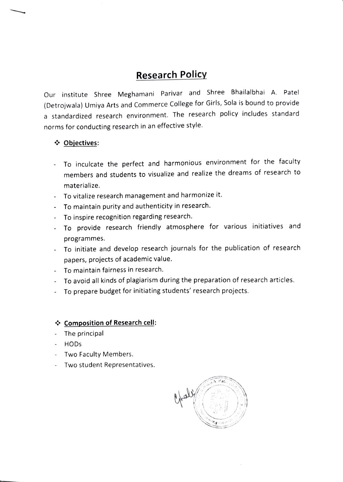## **Research Policy**

Our institute Shree Meghamani Parivar and Shree Bhailalbhai A. Patel (Detrojwala) Umiya Arts and Commerce College for Girls, Sola is bound to provide a standardized research environment. The research policy includes standard norms for conducting research in an effective style.

## Objectives:

- To inculcate the perfect and harmonious environment for the faculty members and students to visualize and realize the dreams of research to materialize.
- To vitalize research management and harmonize it.
- To maintain purity and authenticity in research.
- To inspire recognition regarding research.  $\sim$
- To provide research friendly atmosphere for various initiatives and programmes.
- To initiate and develop research journals for the publication of research papers, projects of academic value.
- To maintain fairness in research.
- To avoid all kinds of plagiarism during the preparation of research articles.
- To prepare budget for initiating students' research projects.

## Composition of Research cell:

- The principal
- HODs
- Two Faculty Members.
- Two student Representatives.